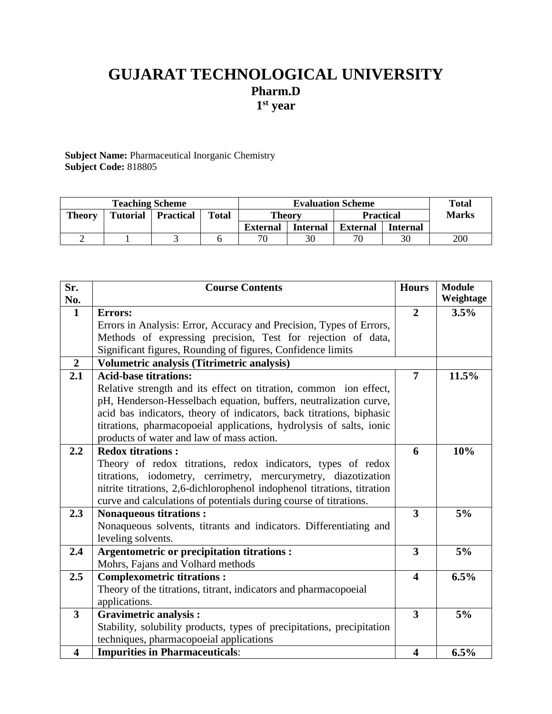# **GUJARAT TECHNOLOGICAL UNIVERSITY Pharm.D 1 st year**

**Subject Name:** Pharmaceutical Inorganic Chemistry **Subject Code:** 818805

| <b>Teaching Scheme</b> |                 |                  | <b>Evaluation Scheme</b> |                 |                 |                  | <b>Total</b>    |              |
|------------------------|-----------------|------------------|--------------------------|-----------------|-----------------|------------------|-----------------|--------------|
| <b>Theory</b>          | <b>Tutorial</b> | <b>Practical</b> | <b>Total</b>             | <b>Theory</b>   |                 | <b>Practical</b> |                 | <b>Marks</b> |
|                        |                 |                  |                          | <b>External</b> | <b>Internal</b> | <b>External</b>  | <b>Internal</b> |              |
|                        |                 |                  |                          | 70              |                 | 70               | 30              | 200          |

| Sr.<br>No.              | <b>Course Contents</b>                                                  |                         | <b>Module</b><br>Weightage |
|-------------------------|-------------------------------------------------------------------------|-------------------------|----------------------------|
| $\mathbf{1}$            | Errors:                                                                 | $\overline{2}$          | 3.5%                       |
|                         | Errors in Analysis: Error, Accuracy and Precision, Types of Errors,     |                         |                            |
|                         | Methods of expressing precision, Test for rejection of data,            |                         |                            |
|                         | Significant figures, Rounding of figures, Confidence limits             |                         |                            |
| $\overline{2}$          | Volumetric analysis (Titrimetric analysis)                              |                         |                            |
| 2.1                     | <b>Acid-base titrations:</b>                                            | $\overline{7}$          | 11.5%                      |
|                         | Relative strength and its effect on titration, common ion effect,       |                         |                            |
|                         | pH, Henderson-Hesselbach equation, buffers, neutralization curve,       |                         |                            |
|                         | acid bas indicators, theory of indicators, back titrations, biphasic    |                         |                            |
|                         | titrations, pharmacopoeial applications, hydrolysis of salts, ionic     |                         |                            |
|                         | products of water and law of mass action.                               |                         |                            |
| 2.2                     | <b>Redox titrations:</b>                                                | 6                       | 10%                        |
|                         | Theory of redox titrations, redox indicators, types of redox            |                         |                            |
|                         | titrations, iodometry, cerrimetry, mercurymetry, diazotization          |                         |                            |
|                         | nitrite titrations, 2,6-dichlorophenol indophenol titrations, titration |                         |                            |
|                         | curve and calculations of potentials during course of titrations.       |                         |                            |
| 2.3                     | <b>Nonaqueous titrations:</b>                                           | 3                       | 5%                         |
|                         | Nonaqueous solvents, titrants and indicators. Differentiating and       |                         |                            |
| 2.4                     | leveling solvents.<br>Argentometric or precipitation titrations :       | 3                       | 5%                         |
|                         | Mohrs, Fajans and Volhard methods                                       |                         |                            |
| 2.5                     | <b>Complexometric titrations:</b>                                       | $\overline{\mathbf{4}}$ | 6.5%                       |
|                         | Theory of the titrations, titrant, indicators and pharmacopoeial        |                         |                            |
|                         | applications.                                                           |                         |                            |
| $\overline{3}$          | <b>Gravimetric analysis:</b>                                            | $\overline{\mathbf{3}}$ | 5%                         |
|                         | Stability, solubility products, types of precipitations, precipitation  |                         |                            |
|                         | techniques, pharmacopoeial applications                                 |                         |                            |
| $\overline{\mathbf{4}}$ | <b>Impurities in Pharmaceuticals:</b>                                   | $\overline{\mathbf{4}}$ | 6.5%                       |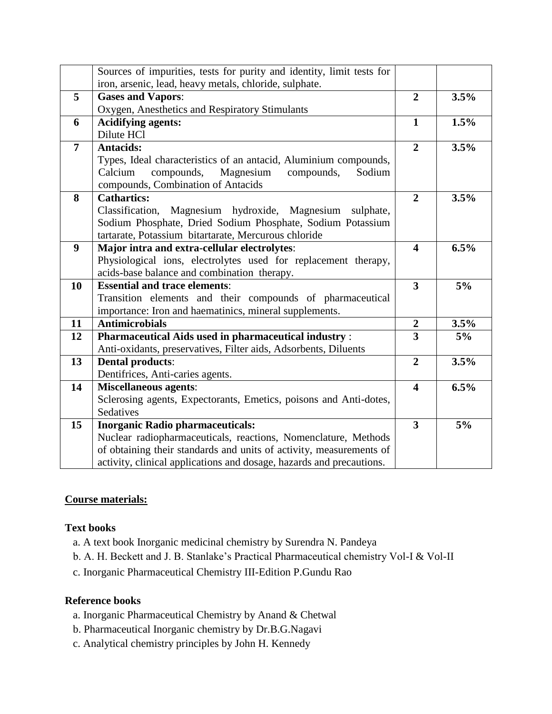|                | Sources of impurities, tests for purity and identity, limit tests for |                         |      |
|----------------|-----------------------------------------------------------------------|-------------------------|------|
|                | iron, arsenic, lead, heavy metals, chloride, sulphate.                |                         |      |
| 5              | <b>Gases and Vapors:</b>                                              | $\overline{2}$          | 3.5% |
|                | Oxygen, Anesthetics and Respiratory Stimulants                        |                         |      |
| 6              | <b>Acidifying agents:</b>                                             | $\mathbf{1}$            | 1.5% |
|                | Dilute HCl                                                            |                         |      |
| $\overline{7}$ | <b>Antacids:</b>                                                      | $\overline{2}$          | 3.5% |
|                | Types, Ideal characteristics of an antacid, Aluminium compounds,      |                         |      |
|                | compounds,<br>Magnesium<br>Calcium<br>compounds,<br>Sodium            |                         |      |
|                | compounds, Combination of Antacids                                    |                         |      |
| 8              | <b>Cathartics:</b>                                                    | $\overline{2}$          | 3.5% |
|                | Classification,<br>Magnesium hydroxide, Magnesium sulphate,           |                         |      |
|                | Sodium Phosphate, Dried Sodium Phosphate, Sodium Potassium            |                         |      |
|                | tartarate, Potassium bitartarate, Mercurous chloride                  |                         |      |
| 9              | Major intra and extra-cellular electrolytes:                          | $\overline{\mathbf{4}}$ | 6.5% |
|                | Physiological ions, electrolytes used for replacement therapy,        |                         |      |
|                | acids-base balance and combination therapy.                           |                         |      |
| 10             | <b>Essential and trace elements:</b>                                  | $\overline{\mathbf{3}}$ | 5%   |
|                | Transition elements and their compounds of pharmaceutical             |                         |      |
|                | importance: Iron and haematinics, mineral supplements.                |                         |      |
| 11             | <b>Antimicrobials</b>                                                 | $\boldsymbol{2}$        | 3.5% |
| 12             | <b>Pharmaceutical Aids used in pharmaceutical industry:</b>           | $\overline{\mathbf{3}}$ | 5%   |
|                | Anti-oxidants, preservatives, Filter aids, Adsorbents, Diluents       |                         |      |
| 13             | <b>Dental products:</b>                                               | $\overline{2}$          | 3.5% |
|                | Dentifrices, Anti-caries agents.                                      |                         |      |
| 14             | <b>Miscellaneous agents:</b>                                          | $\overline{\mathbf{4}}$ | 6.5% |
|                | Sclerosing agents, Expectorants, Emetics, poisons and Anti-dotes,     |                         |      |
|                | Sedatives                                                             |                         |      |
| 15             | <b>Inorganic Radio pharmaceuticals:</b>                               | $\overline{3}$          | 5%   |
|                | Nuclear radiopharmaceuticals, reactions, Nomenclature, Methods        |                         |      |
|                | of obtaining their standards and units of activity, measurements of   |                         |      |
|                | activity, clinical applications and dosage, hazards and precautions.  |                         |      |

## **Course materials:**

#### **Text books**

- a. A text book Inorganic medicinal chemistry by Surendra N. Pandeya
- b. A. H. Beckett and J. B. Stanlake's Practical Pharmaceutical chemistry Vol-I & Vol-II
- c. Inorganic Pharmaceutical Chemistry III-Edition P.Gundu Rao

## **Reference books**

- a. Inorganic Pharmaceutical Chemistry by Anand & Chetwal
- b. Pharmaceutical Inorganic chemistry by Dr.B.G.Nagavi
- c. Analytical chemistry principles by John H. Kennedy